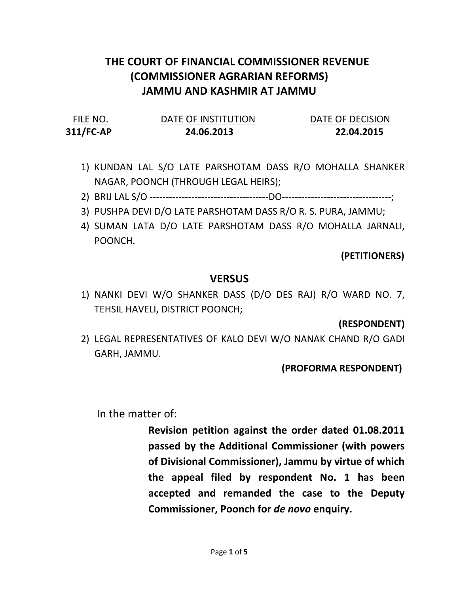## THE COURT OF FINANCIAL COMMISSIONER REVENUE (COMMISSIONER AGRARIAN REFORMS) JAMMU AND KASHMIR AT JAMMU

| FILE NO.  | DATE OF INSTITUTION | DATE OF DECISION |
|-----------|---------------------|------------------|
| 311/FC-AP | 24.06.2013          | 22.04.2015       |

- 1) KUNDAN LAL S/O LATE PARSHOTAM DASS R/O MOHALLA SHANKER NAGAR, POONCH (THROUGH LEGAL HEIRS);
- 2) BRIJ LAL S/O -------------------------------------DO----------------------------------;
- 3) PUSHPA DEVI D/O LATE PARSHOTAM DASS R/O R. S. PURA, JAMMU;
- 4) SUMAN LATA D/O LATE PARSHOTAM DASS R/O MOHALLA JARNALI, POONCH.

(PETITIONERS)

## VERSUS

1) NANKI DEVI W/O SHANKER DASS (D/O DES RAJ) R/O WARD NO. 7, TEHSIL HAVELI, DISTRICT POONCH;

(RESPONDENT)

2) LEGAL REPRESENTATIVES OF KALO DEVI W/O NANAK CHAND R/O GADI GARH, JAMMU.

(PROFORMA RESPONDENT)

In the matter of:

Revision petition against the order dated 01.08.2011 passed by the Additional Commissioner (with powers of Divisional Commissioner), Jammu by virtue of which the appeal filed by respondent No. 1 has been accepted and remanded the case to the Deputy Commissioner, Poonch for de novo enquiry.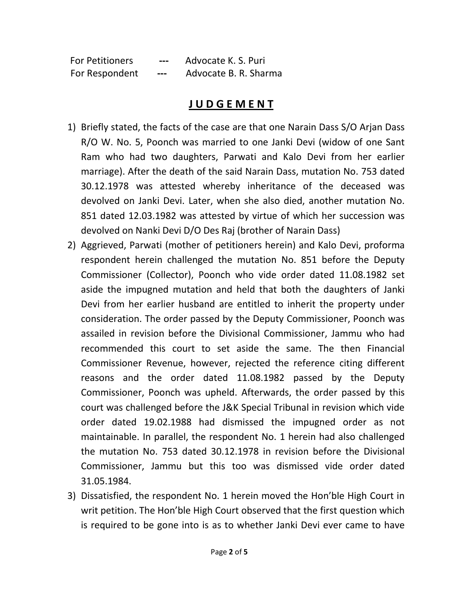| <b>For Petitioners</b> | $---$ | Advocate K. S. Puri   |
|------------------------|-------|-----------------------|
| For Respondent         | ---   | Advocate B. R. Sharma |

## J U D G E M E N T

- 1) Briefly stated, the facts of the case are that one Narain Dass S/O Arjan Dass R/O W. No. 5, Poonch was married to one Janki Devi (widow of one Sant Ram who had two daughters, Parwati and Kalo Devi from her earlier marriage). After the death of the said Narain Dass, mutation No. 753 dated 30.12.1978 was attested whereby inheritance of the deceased was devolved on Janki Devi. Later, when she also died, another mutation No. 851 dated 12.03.1982 was attested by virtue of which her succession was devolved on Nanki Devi D/O Des Raj (brother of Narain Dass)
- 2) Aggrieved, Parwati (mother of petitioners herein) and Kalo Devi, proforma respondent herein challenged the mutation No. 851 before the Deputy Commissioner (Collector), Poonch who vide order dated 11.08.1982 set aside the impugned mutation and held that both the daughters of Janki Devi from her earlier husband are entitled to inherit the property under consideration. The order passed by the Deputy Commissioner, Poonch was assailed in revision before the Divisional Commissioner, Jammu who had recommended this court to set aside the same. The then Financial Commissioner Revenue, however, rejected the reference citing different reasons and the order dated 11.08.1982 passed by the Deputy Commissioner, Poonch was upheld. Afterwards, the order passed by this court was challenged before the J&K Special Tribunal in revision which vide order dated 19.02.1988 had dismissed the impugned order as not maintainable. In parallel, the respondent No. 1 herein had also challenged the mutation No. 753 dated 30.12.1978 in revision before the Divisional Commissioner, Jammu but this too was dismissed vide order dated 31.05.1984.
- 3) Dissatisfied, the respondent No. 1 herein moved the Hon'ble High Court in writ petition. The Hon'ble High Court observed that the first question which is required to be gone into is as to whether Janki Devi ever came to have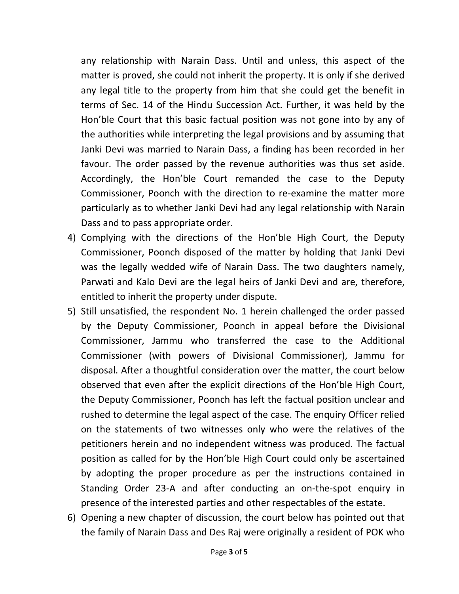any relationship with Narain Dass. Until and unless, this aspect of the matter is proved, she could not inherit the property. It is only if she derived any legal title to the property from him that she could get the benefit in terms of Sec. 14 of the Hindu Succession Act. Further, it was held by the Hon'ble Court that this basic factual position was not gone into by any of the authorities while interpreting the legal provisions and by assuming that Janki Devi was married to Narain Dass, a finding has been recorded in her favour. The order passed by the revenue authorities was thus set aside. Accordingly, the Hon'ble Court remanded the case to the Deputy Commissioner, Poonch with the direction to re-examine the matter more particularly as to whether Janki Devi had any legal relationship with Narain Dass and to pass appropriate order.

- 4) Complying with the directions of the Hon'ble High Court, the Deputy Commissioner, Poonch disposed of the matter by holding that Janki Devi was the legally wedded wife of Narain Dass. The two daughters namely, Parwati and Kalo Devi are the legal heirs of Janki Devi and are, therefore, entitled to inherit the property under dispute.
- 5) Still unsatisfied, the respondent No. 1 herein challenged the order passed by the Deputy Commissioner, Poonch in appeal before the Divisional Commissioner, Jammu who transferred the case to the Additional Commissioner (with powers of Divisional Commissioner), Jammu for disposal. After a thoughtful consideration over the matter, the court below observed that even after the explicit directions of the Hon'ble High Court, the Deputy Commissioner, Poonch has left the factual position unclear and rushed to determine the legal aspect of the case. The enquiry Officer relied on the statements of two witnesses only who were the relatives of the petitioners herein and no independent witness was produced. The factual position as called for by the Hon'ble High Court could only be ascertained by adopting the proper procedure as per the instructions contained in Standing Order 23-A and after conducting an on-the-spot enquiry in presence of the interested parties and other respectables of the estate.
- 6) Opening a new chapter of discussion, the court below has pointed out that the family of Narain Dass and Des Raj were originally a resident of POK who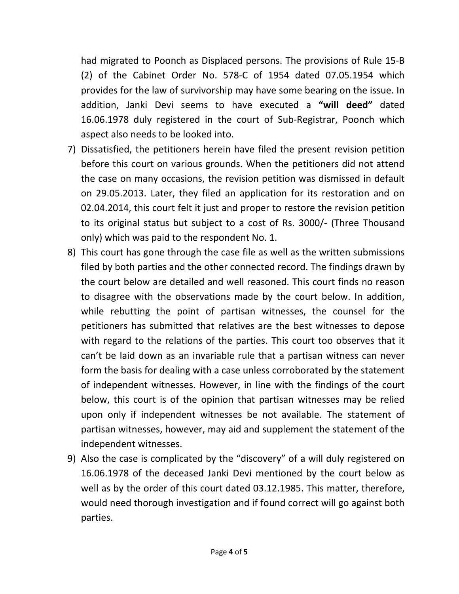had migrated to Poonch as Displaced persons. The provisions of Rule 15-B (2) of the Cabinet Order No. 578-C of 1954 dated 07.05.1954 which provides for the law of survivorship may have some bearing on the issue. In addition, Janki Devi seems to have executed a "will deed" dated 16.06.1978 duly registered in the court of Sub-Registrar, Poonch which aspect also needs to be looked into.

- 7) Dissatisfied, the petitioners herein have filed the present revision petition before this court on various grounds. When the petitioners did not attend the case on many occasions, the revision petition was dismissed in default on 29.05.2013. Later, they filed an application for its restoration and on 02.04.2014, this court felt it just and proper to restore the revision petition to its original status but subject to a cost of Rs. 3000/- (Three Thousand only) which was paid to the respondent No. 1.
- 8) This court has gone through the case file as well as the written submissions filed by both parties and the other connected record. The findings drawn by the court below are detailed and well reasoned. This court finds no reason to disagree with the observations made by the court below. In addition, while rebutting the point of partisan witnesses, the counsel for the petitioners has submitted that relatives are the best witnesses to depose with regard to the relations of the parties. This court too observes that it can't be laid down as an invariable rule that a partisan witness can never form the basis for dealing with a case unless corroborated by the statement of independent witnesses. However, in line with the findings of the court below, this court is of the opinion that partisan witnesses may be relied upon only if independent witnesses be not available. The statement of partisan witnesses, however, may aid and supplement the statement of the independent witnesses.
- 9) Also the case is complicated by the "discovery" of a will duly registered on 16.06.1978 of the deceased Janki Devi mentioned by the court below as well as by the order of this court dated 03.12.1985. This matter, therefore, would need thorough investigation and if found correct will go against both parties.